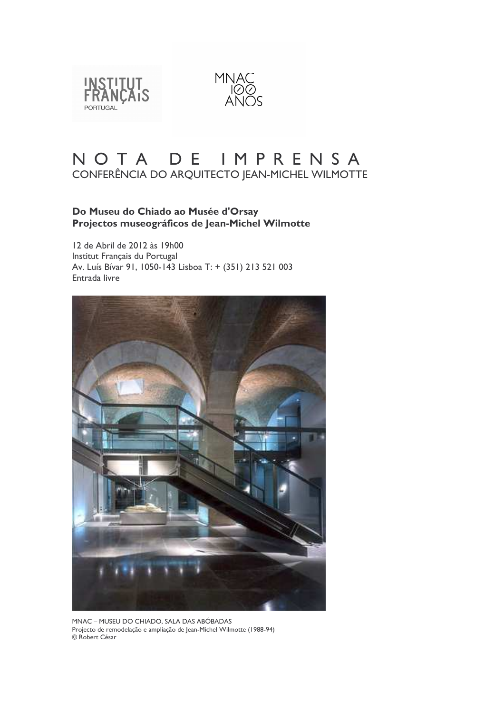



# NOTA DE IMPRENSA CONFERÊNCIA DO ARQUITECTO JEAN-MICHEL WILMOTTE

## Do Museu do Chiado ao Musée d'Orsay Projectos museográficos de Jean-Michel Wilmotte

12 de Abril de 2012 às 19h00 Institut Français du Portugal Av. Luís Bívar 91, 1050-143 Lisboa T: + (351) 213 521 003 Entrada livre



MNAC - MUSEU DO CHIADO, SALA DAS ABÓBADAS Projecto de remodelação e ampliação de Jean-Michel Wilmotte (1988-94) © Robert César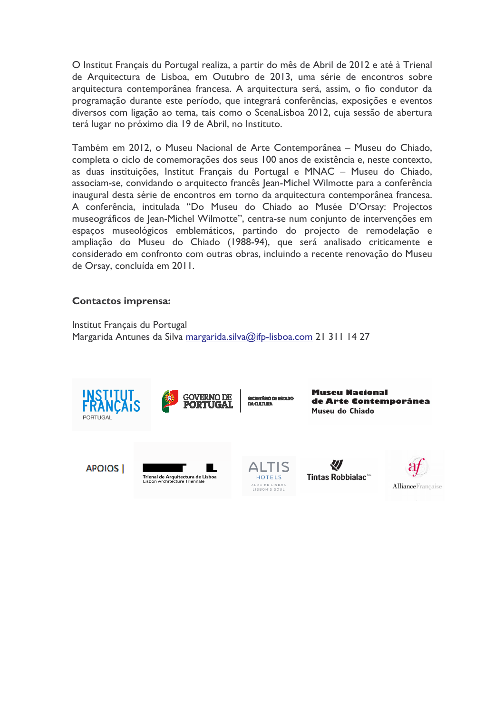O Institut Français du Portugal realiza, a partir do mês de Abril de 2012 e até à Trienal de Arquitectura de Lisboa, em Outubro de 2013, uma série de encontros sobre arquitectura contemporânea francesa. A arquitectura será, assim, o fio condutor da programação durante este período, que integrará conferências, exposições e eventos diversos com ligação ao tema, tais como o ScenaLisboa 2012, cuja sessão de abertura terá lugar no próximo dia 19 de Abril, no Instituto.

Também em 2012, o Museu Nacional de Arte Contemporânea - Museu do Chiado, completa o ciclo de comemorações dos seus 100 anos de existência e, neste contexto, as duas instituições, Institut Français du Portugal e MNAC - Museu do Chiado, associam-se, convidando o arquitecto francês Jean-Michel Wilmotte para a conferência inaugural desta série de encontros em torno da arquitectura contemporânea francesa. A conferência, intitulada "Do Museu do Chiado ao Musée D'Orsay: Projectos museográficos de Jean-Michel Wilmotte", centra-se num conjunto de intervenções em espaços museológicos emblemáticos, partindo do projecto de remodelação e ampliação do Museu do Chiado (1988-94), que será analisado criticamente e considerado em confronto com outras obras, incluindo a recente renovação do Museu de Orsay, concluída em 2011.

## **Contactos imprensa:**

Institut Français du Portugal Margarida Antunes da Silva margarida.silva@ifp-lisboa.com 21 311 14 27

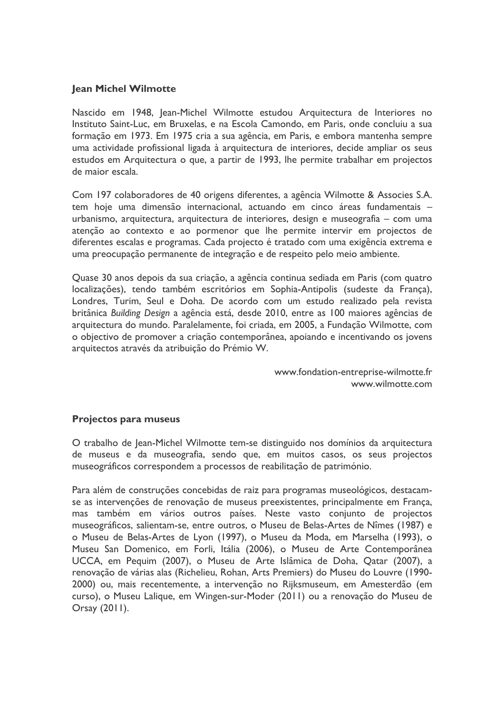#### **Jean Michel Wilmotte**

Nascido em 1948, Jean-Michel Wilmotte estudou Arquitectura de Interiores no Instituto Saint-Luc, em Bruxelas, e na Escola Camondo, em Paris, onde concluiu a sua formação em 1973. Em 1975 cria a sua agência, em Paris, e embora mantenha sempre uma actividade profissional ligada à arquitectura de interiores, decide ampliar os seus estudos em Arquitectura o que, a partir de 1993, lhe permite trabalhar em projectos de maior escala.

Com 197 colaboradores de 40 origens diferentes, a agência Wilmotte & Associes S.A. tem hoje uma dimensão internacional, actuando em cinco áreas fundamentais urbanismo, arquitectura, arquitectura de interiores, design e museografia – com uma atenção ao contexto e ao pormenor que lhe permite intervir em projectos de diferentes escalas e programas. Cada projecto é tratado com uma exigência extrema e uma preocupação permanente de integração e de respeito pelo meio ambiente.

Quase 30 anos depois da sua criação, a agência continua sediada em Paris (com quatro localizações), tendo também escritórios em Sophia-Antipolis (sudeste da França), Londres, Turim, Seul e Doha. De acordo com um estudo realizado pela revista britânica Building Design a agência está, desde 2010, entre as 100 maiores agências de arquitectura do mundo. Paralelamente, foi criada, em 2005, a Fundação Wilmotte, com o objectivo de promover a criação contemporânea, apoiando e incentivando os jovens arquitectos através da atribuição do Prémio W.

> www.fondation-entreprise-wilmotte.fr www.wilmotte.com

## Projectos para museus

O trabalho de Jean-Michel Wilmotte tem-se distinguido nos domínios da arquitectura de museus e da museografia, sendo que, em muitos casos, os seus projectos museográficos correspondem a processos de reabilitação de património.

Para além de construções concebidas de raiz para programas museológicos, destacamse as intervenções de renovação de museus preexistentes, principalmente em França, mas também em vários outros países. Neste vasto conjunto de projectos museográficos, salientam-se, entre outros, o Museu de Belas-Artes de Nîmes (1987) e o Museu de Belas-Artes de Lyon (1997), o Museu da Moda, em Marselha (1993), o Museu San Domenico, em Forli, Itália (2006), o Museu de Arte Contemporânea UCCA, em Pequim (2007), o Museu de Arte Islâmica de Doha, Qatar (2007), a renovação de várias alas (Richelieu, Rohan, Arts Premiers) do Museu do Louvre (1990-2000) ou, mais recentemente, a intervenção no Rijksmuseum, em Amesterdão (em curso), o Museu Lalique, em Wingen-sur-Moder (2011) ou a renovação do Museu de Orsay (2011).